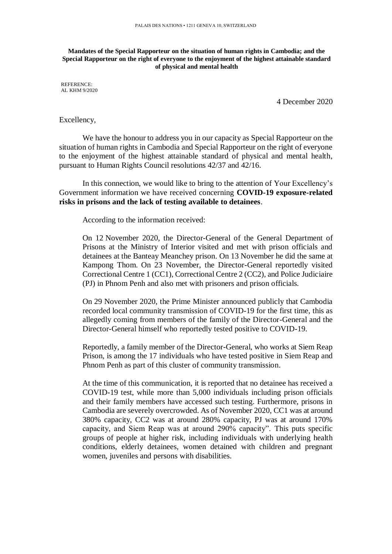## **Mandates of the Special Rapporteur on the situation of human rights in Cambodia; and the Special Rapporteur on the right of everyone to the enjoyment of the highest attainable standard of physical and mental health**

REFERENCE: AL KHM 9/2020

4 December 2020

## Excellency,

We have the honour to address you in our capacity as Special Rapporteur on the situation of human rights in Cambodia and Special Rapporteur on the right of everyone to the enjoyment of the highest attainable standard of physical and mental health, pursuant to Human Rights Council resolutions 42/37 and 42/16.

In this connection, we would like to bring to the attention of Your Excellency's Government information we have received concerning **COVID-19 exposure-related risks in prisons and the lack of testing available to detainees**.

According to the information received:

On 12 November 2020, the Director-General of the General Department of Prisons at the Ministry of Interior visited and met with prison officials and detainees at the Banteay Meanchey prison. On 13 November he did the same at Kampong Thom. On 23 November, the Director-General reportedly visited Correctional Centre 1 (CC1), Correctional Centre 2 (CC2), and Police Judiciaire (PJ) in Phnom Penh and also met with prisoners and prison officials.

On 29 November 2020, the Prime Minister announced publicly that Cambodia recorded local community transmission of COVID-19 for the first time, this as allegedly coming from members of the family of the Director-General and the Director-General himself who reportedly tested positive to COVID-19.

Reportedly, a family member of the Director-General, who works at Siem Reap Prison, is among the 17 individuals who have tested positive in Siem Reap and Phnom Penh as part of this cluster of community transmission.

At the time of this communication, it is reported that no detainee has received a COVID-19 test, while more than 5,000 individuals including prison officials and their family members have accessed such testing. Furthermore, prisons in Cambodia are severely overcrowded. As of November 2020, CC1 was at around 380% capacity, CC2 was at around 280% capacity, PJ was at around 170% capacity, and Siem Reap was at around 290% capacity". This puts specific groups of people at higher risk, including individuals with underlying health conditions, elderly detainees, women detained with children and pregnant women, juveniles and persons with disabilities.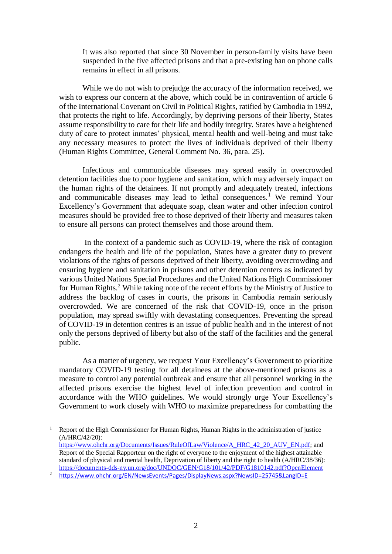It was also reported that since 30 November in person-family visits have been suspended in the five affected prisons and that a pre-existing ban on phone calls remains in effect in all prisons.

While we do not wish to prejudge the accuracy of the information received, we wish to express our concern at the above, which could be in contravention of article 6 of the International Covenant on Civil in Political Rights, ratified by Cambodia in 1992, that protects the right to life. Accordingly, by depriving persons of their liberty, States assume responsibility to care for their life and bodily integrity. States have a heightened duty of care to protect inmates' physical, mental health and well-being and must take any necessary measures to protect the lives of individuals deprived of their liberty (Human Rights Committee, General Comment No. 36, para. 25).

Infectious and communicable diseases may spread easily in overcrowded detention facilities due to poor hygiene and sanitation, which may adversely impact on the human rights of the detainees. If not promptly and adequately treated, infections and communicable diseases may lead to lethal consequences.<sup>1</sup> We remind Your Excellency's Government that adequate soap, clean water and other infection control measures should be provided free to those deprived of their liberty and measures taken to ensure all persons can protect themselves and those around them.

In the context of a pandemic such as COVID-19, where the risk of contagion endangers the health and life of the population, States have a greater duty to prevent violations of the rights of persons deprived of their liberty, avoiding overcrowding and ensuring hygiene and sanitation in prisons and other detention centers as indicated by various United Nations Special Procedures and the United Nations High Commissioner for Human Rights.<sup>2</sup> While taking note of the recent efforts by the Ministry of Justice to address the backlog of cases in courts, the prisons in Cambodia remain seriously overcrowded. We are concerned of the risk that COVID-19, once in the prison population, may spread swiftly with devastating consequences. Preventing the spread of COVID-19 in detention centres is an issue of public health and in the interest of not only the persons deprived of liberty but also of the staff of the facilities and the general public.

As a matter of urgency, we request Your Excellency's Government to prioritize mandatory COVID-19 testing for all detainees at the above-mentioned prisons as a measure to control any potential outbreak and ensure that all personnel working in the affected prisons exercise the highest level of infection prevention and control in accordance with the WHO guidelines. We would strongly urge Your Excellency's Government to work closely with WHO to maximize preparedness for combatting the

-

<sup>&</sup>lt;sup>1</sup> Report of the High Commissioner for Human Rights, Human Rights in the administration of justice (A/HRC/42/20): [https://www.ohchr.org/Documents/Issues/RuleOfLaw/Violence/A\\_HRC\\_42\\_20\\_AUV\\_EN.pdf;](https://www.ohchr.org/Documents/Issues/RuleOfLaw/Violence/A_HRC_42_20_AUV_EN.pdf) and Report of the Special Rapporteur on the right of everyone to the enjoyment of the highest attainable standard of physical and mental health, Deprivation of liberty and the right to health (A/HRC/38/36): <https://documents-dds-ny.un.org/doc/UNDOC/GEN/G18/101/42/PDF/G1810142.pdf?OpenElement>

<sup>2</sup> <https://www.ohchr.org/EN/NewsEvents/Pages/DisplayNews.aspx?NewsID=25745&LangID=E>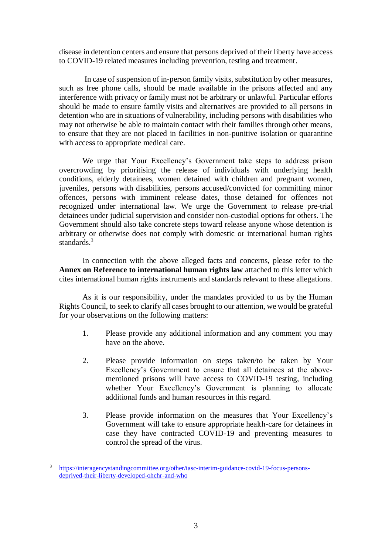disease in detention centers and ensure that persons deprived of their liberty have access to COVID-19 related measures including prevention, testing and treatment.

In case of suspension of in-person family visits, substitution by other measures, such as free phone calls, should be made available in the prisons affected and any interference with privacy or family must not be arbitrary or unlawful. Particular efforts should be made to ensure family visits and alternatives are provided to all persons in detention who are in situations of vulnerability, including persons with disabilities who may not otherwise be able to maintain contact with their families through other means, to ensure that they are not placed in facilities in non-punitive isolation or quarantine with access to appropriate medical care.

We urge that Your Excellency's Government take steps to address prison overcrowding by prioritising the release of individuals with underlying health conditions, elderly detainees, women detained with children and pregnant women, juveniles, persons with disabilities, persons accused/convicted for committing minor offences, persons with imminent release dates, those detained for offences not recognized under international law. We urge the Government to release pre-trial detainees under judicial supervision and consider non-custodial options for others. The Government should also take concrete steps toward release anyone whose detention is arbitrary or otherwise does not comply with domestic or international human rights standards.<sup>3</sup>

In connection with the above alleged facts and concerns, please refer to the **Annex on Reference to international human rights law** attached to this letter which cites international human rights instruments and standards relevant to these allegations.

As it is our responsibility, under the mandates provided to us by the Human Rights Council, to seek to clarify all cases brought to our attention, we would be grateful for your observations on the following matters:

- 1. Please provide any additional information and any comment you may have on the above.
- 2. Please provide information on steps taken/to be taken by Your Excellency's Government to ensure that all detainees at the abovementioned prisons will have access to COVID-19 testing, including whether Your Excellency's Government is planning to allocate additional funds and human resources in this regard.
- 3. Please provide information on the measures that Your Excellency's Government will take to ensure appropriate health-care for detainees in case they have contracted COVID-19 and preventing measures to control the spread of the virus.

-

<sup>3</sup> [https://interagencystandingcommittee.org/other/iasc-interim-guidance-covid-19-focus-persons](https://interagencystandingcommittee.org/other/iasc-interim-guidance-covid-19-focus-persons-deprived-their-liberty-developed-ohchr-and-who)[deprived-their-liberty-developed-ohchr-and-who](https://interagencystandingcommittee.org/other/iasc-interim-guidance-covid-19-focus-persons-deprived-their-liberty-developed-ohchr-and-who)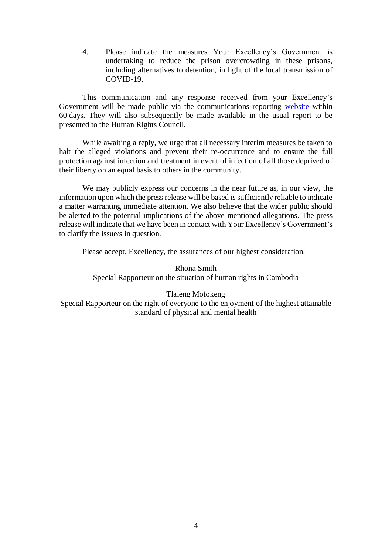4. Please indicate the measures Your Excellency's Government is undertaking to reduce the prison overcrowding in these prisons, including alternatives to detention, in light of the local transmission of COVID-19.

This communication and any response received from your Excellency's Government will be made public via the communications reporting [website](https://spcommreports.ohchr.org/) within 60 days. They will also subsequently be made available in the usual report to be presented to the Human Rights Council.

While awaiting a reply, we urge that all necessary interim measures be taken to halt the alleged violations and prevent their re-occurrence and to ensure the full protection against infection and treatment in event of infection of all those deprived of their liberty on an equal basis to others in the community.

We may publicly express our concerns in the near future as, in our view, the information upon which the press release will be based is sufficiently reliable to indicate a matter warranting immediate attention. We also believe that the wider public should be alerted to the potential implications of the above-mentioned allegations. The press release will indicate that we have been in contact with Your Excellency's Government's to clarify the issue/s in question.

Please accept, Excellency, the assurances of our highest consideration.

Rhona Smith Special Rapporteur on the situation of human rights in Cambodia

Tlaleng Mofokeng Special Rapporteur on the right of everyone to the enjoyment of the highest attainable standard of physical and mental health